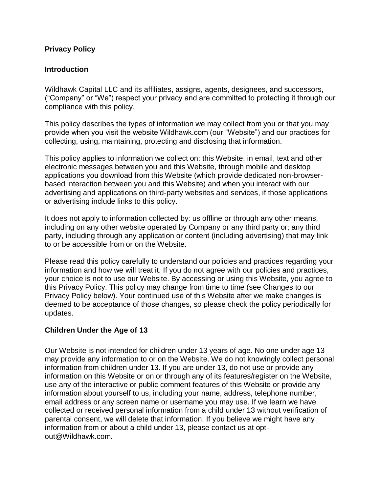## **Privacy Policy**

## **Introduction**

Wildhawk Capital LLC and its affiliates, assigns, agents, designees, and successors, ("Company" or "We") respect your privacy and are committed to protecting it through our compliance with this policy.

This policy describes the types of information we may collect from you or that you may provide when you visit the website Wildhawk.com (our "Website") and our practices for collecting, using, maintaining, protecting and disclosing that information.

This policy applies to information we collect on: this Website, in email, text and other electronic messages between you and this Website, through mobile and desktop applications you download from this Website (which provide dedicated non-browserbased interaction between you and this Website) and when you interact with our advertising and applications on third-party websites and services, if those applications or advertising include links to this policy.

It does not apply to information collected by: us offline or through any other means, including on any other website operated by Company or any third party or; any third party, including through any application or content (including advertising) that may link to or be accessible from or on the Website.

Please read this policy carefully to understand our policies and practices regarding your information and how we will treat it. If you do not agree with our policies and practices, your choice is not to use our Website. By accessing or using this Website, you agree to this Privacy Policy. This policy may change from time to time (see Changes to our Privacy Policy below). Your continued use of this Website after we make changes is deemed to be acceptance of those changes, so please check the policy periodically for updates.

# **Children Under the Age of 13**

Our Website is not intended for children under 13 years of age. No one under age 13 may provide any information to or on the Website. We do not knowingly collect personal information from children under 13. If you are under 13, do not use or provide any information on this Website or on or through any of its features/register on the Website, use any of the interactive or public comment features of this Website or provide any information about yourself to us, including your name, address, telephone number, email address or any screen name or username you may use. If we learn we have collected or received personal information from a child under 13 without verification of parental consent, we will delete that information. If you believe we might have any information from or about a child under 13, please contact us at optout@Wildhawk.com.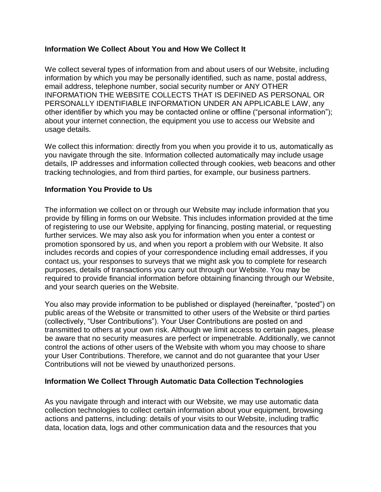# **Information We Collect About You and How We Collect It**

We collect several types of information from and about users of our Website, including information by which you may be personally identified, such as name, postal address, email address, telephone number, social security number or ANY OTHER INFORMATION THE WEBSITE COLLECTS THAT IS DEFINED AS PERSONAL OR PERSONALLY IDENTIFIABLE INFORMATION UNDER AN APPLICABLE LAW, any other identifier by which you may be contacted online or offline ("personal information"); about your internet connection, the equipment you use to access our Website and usage details.

We collect this information: directly from you when you provide it to us, automatically as you navigate through the site. Information collected automatically may include usage details, IP addresses and information collected through cookies, web beacons and other tracking technologies, and from third parties, for example, our business partners.

# **Information You Provide to Us**

The information we collect on or through our Website may include information that you provide by filling in forms on our Website. This includes information provided at the time of registering to use our Website, applying for financing, posting material, or requesting further services. We may also ask you for information when you enter a contest or promotion sponsored by us, and when you report a problem with our Website. It also includes records and copies of your correspondence including email addresses, if you contact us, your responses to surveys that we might ask you to complete for research purposes, details of transactions you carry out through our Website. You may be required to provide financial information before obtaining financing through our Website, and your search queries on the Website.

You also may provide information to be published or displayed (hereinafter, "posted") on public areas of the Website or transmitted to other users of the Website or third parties (collectively, "User Contributions"). Your User Contributions are posted on and transmitted to others at your own risk. Although we limit access to certain pages, please be aware that no security measures are perfect or impenetrable. Additionally, we cannot control the actions of other users of the Website with whom you may choose to share your User Contributions. Therefore, we cannot and do not guarantee that your User Contributions will not be viewed by unauthorized persons.

#### **Information We Collect Through Automatic Data Collection Technologies**

As you navigate through and interact with our Website, we may use automatic data collection technologies to collect certain information about your equipment, browsing actions and patterns, including: details of your visits to our Website, including traffic data, location data, logs and other communication data and the resources that you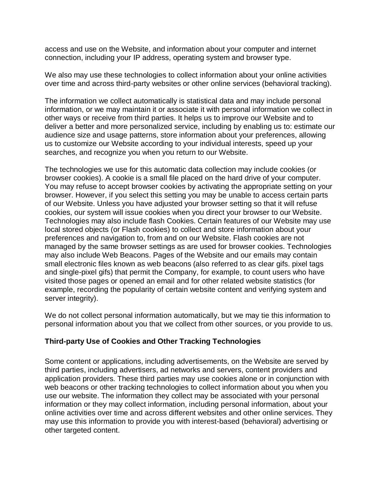access and use on the Website, and information about your computer and internet connection, including your IP address, operating system and browser type.

We also may use these technologies to collect information about your online activities over time and across third-party websites or other online services (behavioral tracking).

The information we collect automatically is statistical data and may include personal information, or we may maintain it or associate it with personal information we collect in other ways or receive from third parties. It helps us to improve our Website and to deliver a better and more personalized service, including by enabling us to: estimate our audience size and usage patterns, store information about your preferences, allowing us to customize our Website according to your individual interests, speed up your searches, and recognize you when you return to our Website.

The technologies we use for this automatic data collection may include cookies (or browser cookies). A cookie is a small file placed on the hard drive of your computer. You may refuse to accept browser cookies by activating the appropriate setting on your browser. However, if you select this setting you may be unable to access certain parts of our Website. Unless you have adjusted your browser setting so that it will refuse cookies, our system will issue cookies when you direct your browser to our Website. Technologies may also include flash Cookies. Certain features of our Website may use local stored objects (or Flash cookies) to collect and store information about your preferences and navigation to, from and on our Website. Flash cookies are not managed by the same browser settings as are used for browser cookies. Technologies may also include Web Beacons. Pages of the Website and our emails may contain small electronic files known as web beacons (also referred to as clear gifs. pixel tags and single-pixel gifs) that permit the Company, for example, to count users who have visited those pages or opened an email and for other related website statistics (for example, recording the popularity of certain website content and verifying system and server integrity).

We do not collect personal information automatically, but we may tie this information to personal information about you that we collect from other sources, or you provide to us.

#### **Third-party Use of Cookies and Other Tracking Technologies**

Some content or applications, including advertisements, on the Website are served by third parties, including advertisers, ad networks and servers, content providers and application providers. These third parties may use cookies alone or in conjunction with web beacons or other tracking technologies to collect information about you when you use our website. The information they collect may be associated with your personal information or they may collect information, including personal information, about your online activities over time and across different websites and other online services. They may use this information to provide you with interest-based (behavioral) advertising or other targeted content.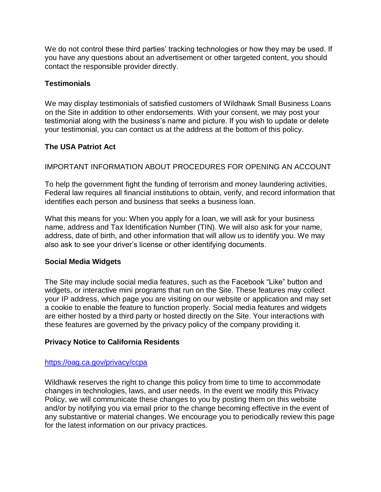We do not control these third parties' tracking technologies or how they may be used. If you have any questions about an advertisement or other targeted content, you should contact the responsible provider directly.

## **Testimonials**

We may display testimonials of satisfied customers of Wildhawk Small Business Loans on the Site in addition to other endorsements. With your consent, we may post your testimonial along with the business's name and picture. If you wish to update or delete your testimonial, you can contact us at the address at the bottom of this policy.

# **The USA Patriot Act**

# IMPORTANT INFORMATION ABOUT PROCEDURES FOR OPENING AN ACCOUNT

To help the government fight the funding of terrorism and money laundering activities, Federal law requires all financial institutions to obtain, verify, and record information that identifies each person and business that seeks a business loan.

What this means for you: When you apply for a loan, we will ask for your business name, address and Tax Identification Number (TIN). We will also ask for your name, address, date of birth, and other information that will allow us to identify you. We may also ask to see your driver's license or other identifying documents.

#### **Social Media Widgets**

The Site may include social media features, such as the Facebook "Like" button and widgets, or interactive mini programs that run on the Site. These features may collect your IP address, which page you are visiting on our website or application and may set a cookie to enable the feature to function properly. Social media features and widgets are either hosted by a third party or hosted directly on the Site. Your interactions with these features are governed by the privacy policy of the company providing it.

#### **Privacy Notice to California Residents**

#### <https://oag.ca.gov/privacy/ccpa>

Wildhawk reserves the right to change this policy from time to time to accommodate changes in technologies, laws, and user needs. In the event we modify this Privacy Policy, we will communicate these changes to you by posting them on this website and/or by notifying you via email prior to the change becoming effective in the event of any substantive or material changes. We encourage you to periodically review this page for the latest information on our privacy practices.